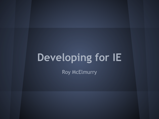# **Developing for IE**

Roy McElmurry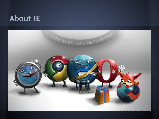## **About IE**

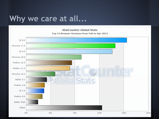#### Why we care at all...

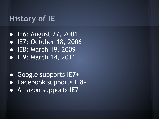#### **History of IE**

● IE6: August 27, 2001 ● IE7: October 18, 2006 ● IE8: March 19, 2009 ● IE9: March 14, 2011

● Google supports IE7+ ● Facebook supports IE8+ **• Amazon supports IE7+**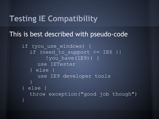#### **Testing IE Compatibility**

#### This is best described with pseudo-code

```
if (you_use_windows) {
  if (need to support <= IE6 ||
        ! you have (IE9)) {
     use IETester
  } else {
     use IE9 developer tools
  }
} else {
  throw exception("good job though")
}
```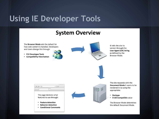#### **Using IE Developer Tools**

#### **System Overview**

The **Browser Mode** sets the default for how web content is handled. Developers and Users change this through:

- F12 Developer Tools
- Compatibility View button



IE tells the site its version through the **User Agent (UA) String** as defined by the Browser Mode.



The site responds with the Document Mode it wants to be rendered in by using the appropriate:

- Doctype
- X-UA-Compatible value

The Browser Mode determines the default Document Mode.



- Feature detection
- **Behavior detection**  $\bullet$
- Conditional Comments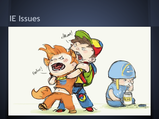#### **IE Issues**

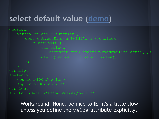#### **select default value ([demo\)](http://cs.washington.edu/education/courses/190m/12sp/extra/iehacks/ie7derp8.html)**

```
<script>
   window. onload = function() {
      document.getElementById('btn').onclick =
          function() {
             var select = 
                 document.getElementsByTagName('select')[0];
             alert("Value: " + select.value);
</script>
<select>
   <option>100</option>
   <option>200</option>
</select>
<button id="btn">Show Value</button>
```
Workaround: None, be nice to IE, it's a little slow unless you define the value attribute explicitly.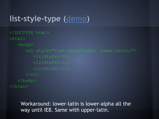#### **list-style-type ([demo\)](http://cs.washington.edu/education/courses/190m/12sp/extra/iehacks/ie7derp1.html)**

<!DOCTYPE html>  $<$ html $>$ <body> <ol style="list-style-type: lower-latin;"> <li>Stuff</li> <li>Stuff</li>  $\langle$ ol> </body>  $\langle$ /html $>$ 

Workaround: lower-latin is lower-alpha all the way until IE8. Same with upper-latin.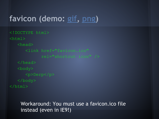## **favicon (demo: [gif](http://cs.washington.edu/education/courses/190m/12sp/extra/iehacks/ie7derp2-gif.html), [png\)](http://cs.washington.edu/education/courses/190m/12sp/extra/iehacks/ie7derp2-png.html)**

```
<!DOCTYPE html>
<html><head>
      <link href="favicon.ico"
             rel="shortcut icon" />
   </head>
   <body>
      <p>Derp</p>
   </body>
\langle/html>
```
#### Workaround: You must use a favicon.ico file instead (even in IE9!)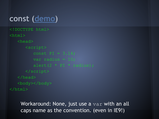#### **const ([demo\)](http://cs.washington.edu/education/courses/190m/12sp/extra/iehacks/ie7derp4.html)**

```
<!DOCTYPE html>
<html><head>
      <script>
         const PI = 3.14;
         var radius = 10;
         alert (2 * PI * radius);
      </script>
   </head>
   <body></body>
\langle/html>
```
Workaround: None, just use a var with an all caps name as the convention. (even in IE9!)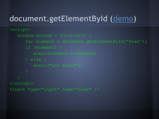## **document.getElementById ([demo\)](http://cs.washington.edu/education/courses/190m/12sp/extra/iehacks/ie7derp3.html)**

```
<script>
   window. onload = function() {
      var element = document.getElementById('fake');
      if (element) {
         alert(element.nodeName);
      } else {
         alert("not found");
</script>
```
<input type="input" name="fake" />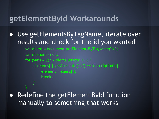#### **getElementById Workarounds**

● Use getElementsByTagName, iterate over results and check for the id you wanted

```
var elems = document.getElementsByTagName("p");
var element= null;
for (var i = 0; i < elems.length; i++) {
    if (elems[i].getAttribute("id") == "description") {
         element = elems[i];
         break;
```
● Redefine the getElementById function manually to something that works

}

}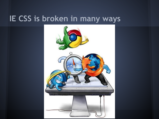# **IE CSS is broken in many ways**

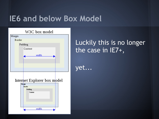#### **IE6 and below Box Model**



#### Luckily this is no longer the case in IE7+,

yet...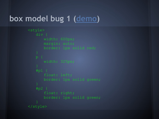#### **box model bug 1 [\(demo](http://cs.washington.edu/education/courses/190m/12sp/extra/iehacks/ie7derp5.html))**

```
<style>
   div {
      margin: auto;
   #p1 {
      float: left;
      border: 1px solid green;
   #p2 {
       float: right;
      border: 1px solid green;
</style>
```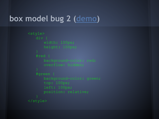#### **box model bug 2 [\(demo](http://cs.washington.edu/education/courses/190m/12sp/extra/iehacks/ie7derp6.html))**

```
<style>
   div {
   #red {
      background-color: red;
   #green {
      background-color: green;
      top: 100px;
      left: 100px;
      position: relative;
</style>
```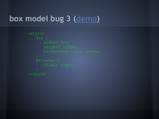#### **box model bug 3 [\(demo](http://cs.washington.edu/education/courses/190m/12sp/extra/iehacks/ie7derp7.html))**

```
<style>
   div {
      height: 100px;
      background-color: green;
   #floater {
</style>
```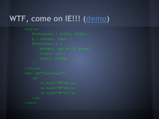# **WTF, come on IE!!! ([demo\)](http://cs.washington.edu/education/courses/190m/12sp/extra/iehacks/ie7derp9.html)**

```
<style>
      #container { width: 400px; }
     p { margin: 64px; }
     #container a {
</style>
<div id="container">
     <br> <math>p</math>\langle a \rangle href="#">A\langle a \rangle<a href="#">B</a>
           \langle a \rangle href="#">C\langle a \rangle\langle p \rangle\langle/div>
```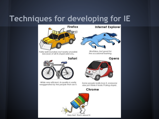#### Techniques for developing for IE





**Internet Explorer** 

Worthless, but good for the occasional bashing.

Opera



Some people really love it, everyone else just thinks it looks f\*cking stupid.

#### Chrome

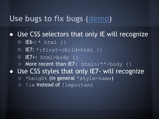#### **Use bugs to fix bugs ([demo\)](http://cs.washington.edu/education/courses/190m/12sp/extra/iehacks/iehacks.html)**

• Use CSS selectors that only IE will recognize

- $O$  **E6-:**  $*$  html {}
- IE7: \*:first-child+html {}
- IE7+: html>body {}
- $\circ$  More recent than IE7: html>/\*\*/body {}

• Use CSS styles that only IE7- will recognize

- $\circ$  \*height (in general \*style-name)
- o ! ie instead of ! important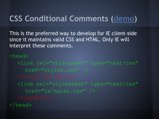# **CSS Conditional Comments ([demo\)](http://cs.washington.edu/education/courses/190m/12sp/extra/iehacks/ieconditional.html)**

This is the preferred way to develop for IE client-side since it maintains valid CSS and HTML. Only IE will interpret these comments.

<head> <link rel="stylesheet" type="text/css" href="styles.css" /> <link rel="stylesheet" type="text/css" href="ie7hacks.css" /> </head>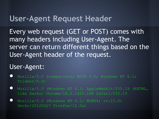#### **User-Agent Request Header**

Every web request (GET or POST) comes with many headers including User-Agent. The server can return different things based on the User-Agent header of the request.

#### User-Agent:

- Mozilla/5.0 (compatible; MSIE 9.0; Windows NT 6.1; Trident/5.0)
- Mozilla/5.0 (Windows NT 6.1) AppleWebKit/535.19 (KHTML, like Gecko) Chrome/18.0.1025.168 Safari/535.19
- Mozilla/5.0 (Windows NT 6.1; WOW64; rv:15.0) Gecko/20120427 Firefox/15.0a1